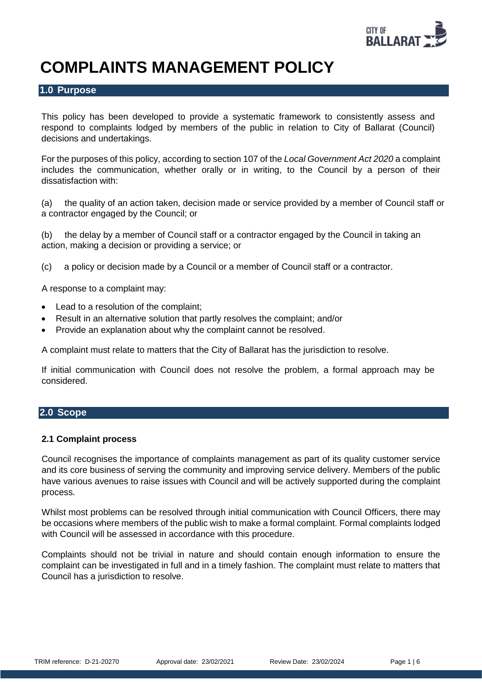

# **COMPLAINTS MANAGEMENT POLICY**

## **1.0 Purpose**

This policy has been developed to provide a systematic framework to consistently assess and respond to complaints lodged by members of the public in relation to City of Ballarat (Council) decisions and undertakings.

For the purposes of this policy, according to section 107 of the *Local Government Act 2020* a complaint includes the communication, whether orally or in writing, to the Council by a person of their dissatisfaction with:

(a) the quality of an action taken, decision made or service provided by a [member of Council staff](http://classic.austlii.edu.au/au/legis/vic/consol_act/lga2020182/s3.html#member_of_council_staff) or a contractor engaged by the [Council;](http://classic.austlii.edu.au/au/legis/vic/consol_act/lga2020182/s3.html#council) or

(b) the delay by a [member of Council staff](http://classic.austlii.edu.au/au/legis/vic/consol_act/lga2020182/s3.html#member_of_council_staff) or a contractor engaged by the [Council](http://classic.austlii.edu.au/au/legis/vic/consol_act/lga2020182/s3.html#council) in taking an action, making a decision or providing a service; or

(c) a policy or decision made by a [Council](http://classic.austlii.edu.au/au/legis/vic/consol_act/lga2020182/s3.html#council) or a [member of Council staff](http://classic.austlii.edu.au/au/legis/vic/consol_act/lga2020182/s3.html#member_of_council_staff) or a contractor.

A response to a complaint may:

- Lead to a resolution of the complaint;
- Result in an alternative solution that partly resolves the complaint; and/or
- Provide an explanation about why the complaint cannot be resolved.

A complaint must relate to matters that the City of Ballarat has the jurisdiction to resolve.

If initial communication with Council does not resolve the problem, a formal approach may be considered.

# **2.0 Scope**

#### **2.1 Complaint process**

Council recognises the importance of complaints management as part of its quality customer service and its core business of serving the community and improving service delivery. Members of the public have various avenues to raise issues with Council and will be actively supported during the complaint process.

Whilst most problems can be resolved through initial communication with Council Officers, there may be occasions where members of the public wish to make a formal complaint. Formal complaints lodged with Council will be assessed in accordance with this procedure.

Complaints should not be trivial in nature and should contain enough information to ensure the complaint can be investigated in full and in a timely fashion. The complaint must relate to matters that Council has a jurisdiction to resolve.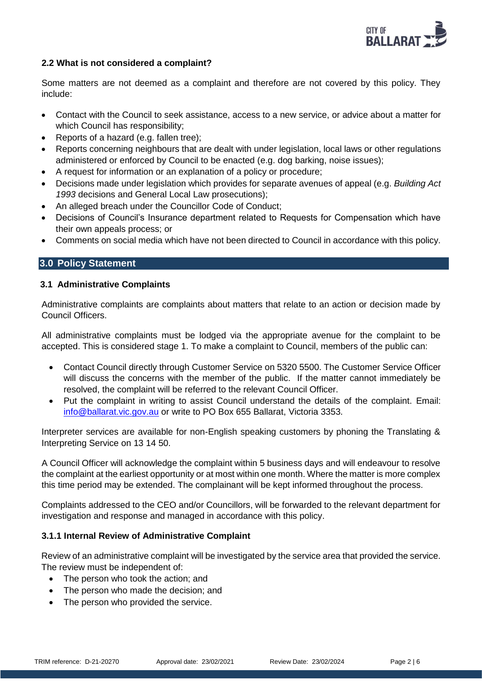

## **2.2 What is not considered a complaint?**

Some matters are not deemed as a complaint and therefore are not covered by this policy. They include:

- Contact with the Council to seek assistance, access to a new service, or advice about a matter for which Council has responsibility;
- Reports of a hazard (e.g. fallen tree);
- Reports concerning neighbours that are dealt with under legislation, local laws or other regulations administered or enforced by Council to be enacted (e.g. dog barking, noise issues);
- A request for information or an explanation of a policy or procedure;
- Decisions made under legislation which provides for separate avenues of appeal (e.g. *Building Act 1993* decisions and General Local Law prosecutions);
- An alleged breach under the Councillor Code of Conduct;
- Decisions of Council's Insurance department related to Requests for Compensation which have their own appeals process; or
- Comments on social media which have not been directed to Council in accordance with this policy.

# **3.0 Policy Statement**

## **3.1 Administrative Complaints**

Administrative complaints are complaints about matters that relate to an action or decision made by Council Officers.

All administrative complaints must be lodged via the appropriate avenue for the complaint to be accepted. This is considered stage 1. To make a complaint to Council, members of the public can:

- Contact Council directly through Customer Service on 5320 5500. The Customer Service Officer will discuss the concerns with the member of the public. If the matter cannot immediately be resolved, the complaint will be referred to the relevant Council Officer.
- Put the complaint in writing to assist Council understand the details of the complaint. Email: [info@ballarat.vic.gov.au](mailto:info@ballarat.vic.gov.au) or write to PO Box 655 Ballarat, Victoria 3353.

Interpreter services are available for non-English speaking customers by phoning the Translating & Interpreting Service on 13 14 50.

A Council Officer will acknowledge the complaint within 5 business days and will endeavour to resolve the complaint at the earliest opportunity or at most within one month. Where the matter is more complex this time period may be extended. The complainant will be kept informed throughout the process.

Complaints addressed to the CEO and/or Councillors, will be forwarded to the relevant department for investigation and response and managed in accordance with this policy.

## **3.1.1 Internal Review of Administrative Complaint**

Review of an administrative complaint will be investigated by the service area that provided the service. The review must be independent of:

- The person who took the action; and
- The person who made the decision; and
- The person who provided the service.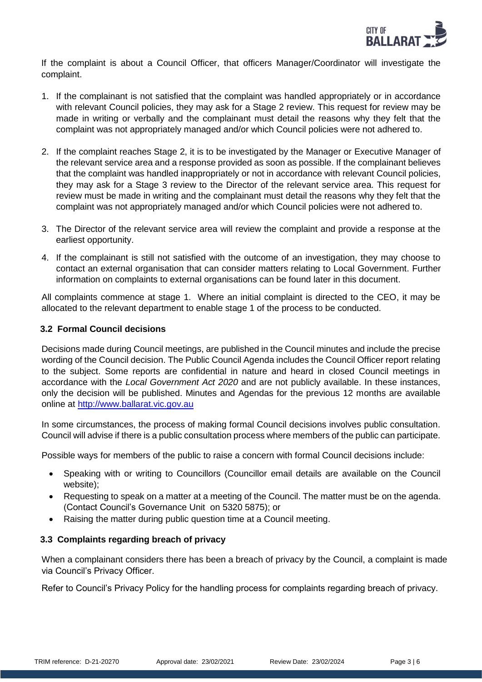

If the complaint is about a Council Officer, that officers Manager/Coordinator will investigate the complaint.

- 1. If the complainant is not satisfied that the complaint was handled appropriately or in accordance with relevant Council policies, they may ask for a Stage 2 review. This request for review may be made in writing or verbally and the complainant must detail the reasons why they felt that the complaint was not appropriately managed and/or which Council policies were not adhered to.
- 2. If the complaint reaches Stage 2, it is to be investigated by the Manager or Executive Manager of the relevant service area and a response provided as soon as possible. If the complainant believes that the complaint was handled inappropriately or not in accordance with relevant Council policies, they may ask for a Stage 3 review to the Director of the relevant service area. This request for review must be made in writing and the complainant must detail the reasons why they felt that the complaint was not appropriately managed and/or which Council policies were not adhered to.
- 3. The Director of the relevant service area will review the complaint and provide a response at the earliest opportunity.
- 4. If the complainant is still not satisfied with the outcome of an investigation, they may choose to contact an external organisation that can consider matters relating to Local Government. Further information on complaints to external organisations can be found later in this document.

All complaints commence at stage 1. Where an initial complaint is directed to the CEO, it may be allocated to the relevant department to enable stage 1 of the process to be conducted.

# **3.2 Formal Council decisions**

Decisions made during Council meetings, are published in the Council minutes and include the precise wording of the Council decision. The Public Council Agenda includes the Council Officer report relating to the subject. Some reports are confidential in nature and heard in closed Council meetings in accordance with the *Local Government Act 2020* and are not publicly available. In these instances, only the decision will be published. Minutes and Agendas for the previous 12 months are available online at [http://www.ballarat.vic.gov.au](http://www.ballarat.vic.gov.au/)

In some circumstances, the process of making formal Council decisions involves public consultation. Council will advise if there is a public consultation process where members of the public can participate.

Possible ways for members of the public to raise a concern with formal Council decisions include:

- Speaking with or writing to Councillors (Councillor email details are available on the Council website);
- Requesting to speak on a matter at a meeting of the Council. The matter must be on the agenda. (Contact Council's Governance Unit on 5320 5875); or
- Raising the matter during public question time at a Council meeting.

## **3.3 Complaints regarding breach of privacy**

When a complainant considers there has been a breach of privacy by the Council, a complaint is made via Council's Privacy Officer.

Refer to Council's Privacy Policy for the handling process for complaints regarding breach of privacy.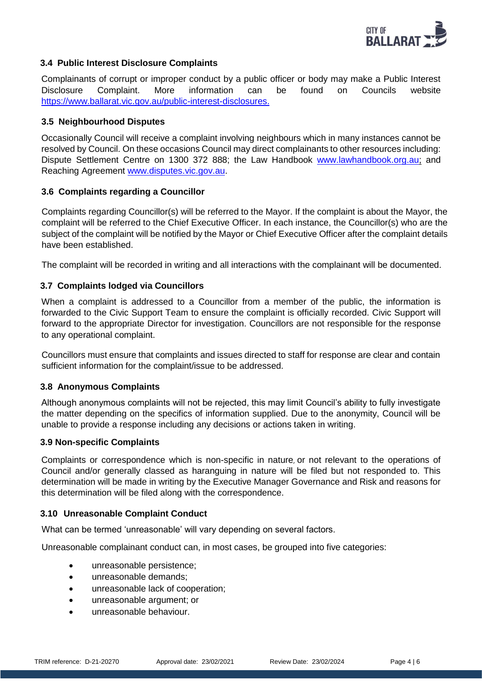

## **3.4 Public Interest Disclosure Complaints**

Complainants of corrupt or improper conduct by a public officer or body may make a Public Interest Disclosure Complaint. More information can be found on Councils website [https://www.ballarat.vic.gov.au/public-interest-disclosures.](https://www.ballarat.vic.gov.au/public-interest-disclosures)

#### **3.5 Neighbourhood Disputes**

Occasionally Council will receive a complaint involving neighbours which in many instances cannot be resolved by Council. On these occasions Council may direct complainants to other resources including: Dispute Settlement Centre on 1300 372 888; the Law Handbook [www.lawhandbook.org.au;](http://www.lawhandbook.org.au/) and Reaching Agreement [www.disputes.vic.gov.au.](http://www.disputes.vic.gov.au/)

#### **3.6 Complaints regarding a Councillor**

Complaints regarding Councillor(s) will be referred to the Mayor. If the complaint is about the Mayor, the complaint will be referred to the Chief Executive Officer. In each instance, the Councillor(s) who are the subject of the complaint will be notified by the Mayor or Chief Executive Officer after the complaint details have been established.

The complaint will be recorded in writing and all interactions with the complainant will be documented.

## **3.7 Complaints lodged via Councillors**

When a complaint is addressed to a Councillor from a member of the public, the information is forwarded to the Civic Support Team to ensure the complaint is officially recorded. Civic Support will forward to the appropriate Director for investigation. Councillors are not responsible for the response to any operational complaint.

Councillors must ensure that complaints and issues directed to staff for response are clear and contain sufficient information for the complaint/issue to be addressed.

## **3.8 Anonymous Complaints**

Although anonymous complaints will not be rejected, this may limit Council's ability to fully investigate the matter depending on the specifics of information supplied. Due to the anonymity, Council will be unable to provide a response including any decisions or actions taken in writing.

#### **3.9 Non-specific Complaints**

Complaints or correspondence which is non-specific in nature, or not relevant to the operations of Council and/or generally classed as haranguing in nature will be filed but not responded to. This determination will be made in writing by the Executive Manager Governance and Risk and reasons for this determination will be filed along with the correspondence.

## **3.10 Unreasonable Complaint Conduct**

What can be termed 'unreasonable' will vary depending on several factors.

Unreasonable complainant conduct can, in most cases, be grouped into five categories:

- unreasonable persistence;
- unreasonable demands;
- unreasonable lack of cooperation:
- unreasonable argument; or
- unreasonable behaviour.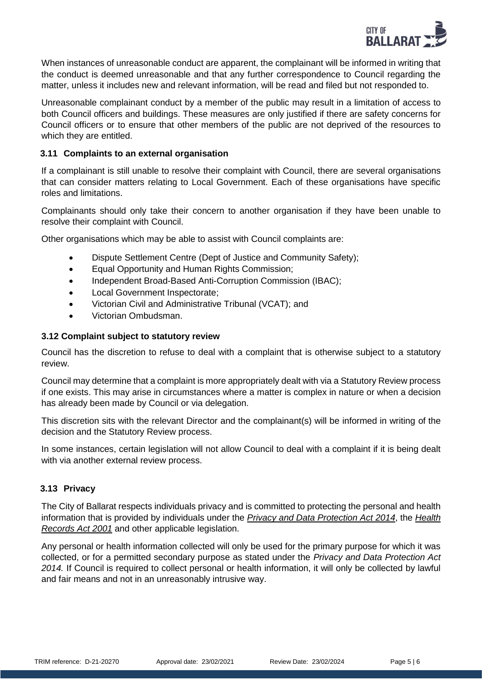

When instances of unreasonable conduct are apparent, the complainant will be informed in writing that the conduct is deemed unreasonable and that any further correspondence to Council regarding the matter, unless it includes new and relevant information, will be read and filed but not responded to.

Unreasonable complainant conduct by a member of the public may result in a limitation of access to both Council officers and buildings. These measures are only justified if there are safety concerns for Council officers or to ensure that other members of the public are not deprived of the resources to which they are entitled.

#### **3.11 Complaints to an external organisation**

If a complainant is still unable to resolve their complaint with Council, there are several organisations that can consider matters relating to Local Government. Each of these organisations have specific roles and limitations.

Complainants should only take their concern to another organisation if they have been unable to resolve their complaint with Council.

Other organisations which may be able to assist with Council complaints are:

- [Dispute Settlement Centre \(Dept of Justice](http://www.justice.vic.gov.au/disputes) and Community Safety);
- Equal Opportunity and Human Rights Commission;
- [Independent Broad-Based Anti-Corruption](http://www.ibac.vic.gov.au/) Commission (IBAC):
- Local Government Inspectorate;
- [Victorian Civil and Administrative Tribunal \(VCAT\);](http://www.vcat.vic.gov.au/) and
- [Victorian Ombudsman.](http://www.ombudsman.vic.gov.au/)

## **3.12 Complaint subject to statutory review**

Council has the discretion to refuse to deal with a complaint that is otherwise subject to a statutory review.

Council may determine that a complaint is more appropriately dealt with via a Statutory Review process if one exists. This may arise in circumstances where a matter is complex in nature or when a decision has already been made by Council or via delegation.

This discretion sits with the relevant Director and the complainant(s) will be informed in writing of the decision and the Statutory Review process.

In some instances, certain legislation will not allow Council to deal with a complaint if it is being dealt with via another external review process.

## **3.13 Privacy**

The City of Ballarat respects individuals privacy and is committed to protecting the personal and health information that is provided by individuals under the *[Privacy and Data Protection Act 2014](http://www.legislation.vic.gov.au/Domino/Web_Notes/LDMS/PubStatbook.nsf/f932b66241ecf1b7ca256e92000e23be/05CC92B3F8CB6A6BCA257D4700209220/%24FILE/14-060aa%20authorised.pdf)*, the *[Health](http://www.legislation.vic.gov.au/Domino/Web_Notes/LDMS/LTObject_Store/LTObjSt6.nsf/DDE300B846EED9C7CA257616000A3571/77FAA53ECDC0DA44CA2579030015D701/%24FILE/01-2aa023%20authorised.pdf)  [Records Act 2001](http://www.legislation.vic.gov.au/Domino/Web_Notes/LDMS/LTObject_Store/LTObjSt6.nsf/DDE300B846EED9C7CA257616000A3571/77FAA53ECDC0DA44CA2579030015D701/%24FILE/01-2aa023%20authorised.pdf)* and other applicable legislation.

Any personal or health information collected will only be used for the primary purpose for which it was collected, or for a permitted secondary purpose as stated under the *Privacy and Data Protection Act 2014.* If Council is required to collect personal or health information, it will only be collected by lawful and fair means and not in an unreasonably intrusive way.